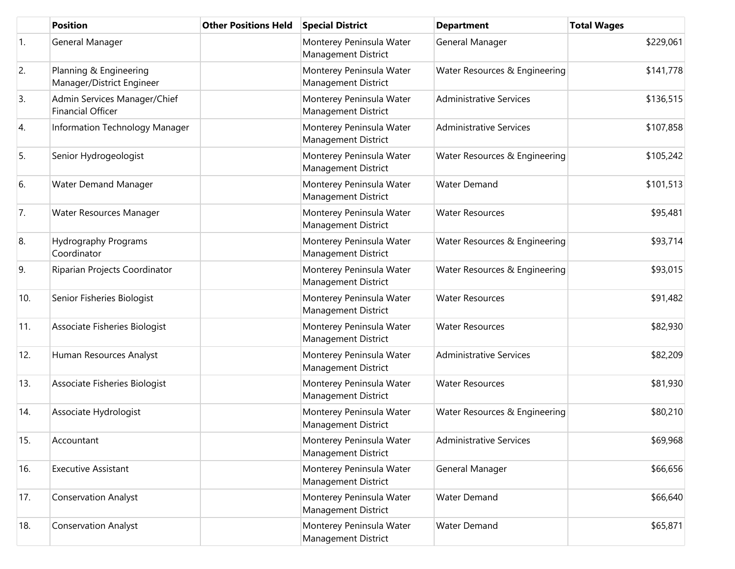|     | <b>Position</b>                                          | <b>Other Positions Held</b> | <b>Special District</b>                                | <b>Department</b>              | <b>Total Wages</b> |
|-----|----------------------------------------------------------|-----------------------------|--------------------------------------------------------|--------------------------------|--------------------|
| 1.  | General Manager                                          |                             | Monterey Peninsula Water<br>Management District        | General Manager                | \$229,061          |
| 2.  | Planning & Engineering<br>Manager/District Engineer      |                             | Monterey Peninsula Water<br>Management District        | Water Resources & Engineering  | \$141,778          |
| 3.  | Admin Services Manager/Chief<br><b>Financial Officer</b> |                             | Monterey Peninsula Water<br>Management District        | <b>Administrative Services</b> | \$136,515          |
| 4.  | Information Technology Manager                           |                             | Monterey Peninsula Water<br>Management District        | <b>Administrative Services</b> | \$107,858          |
| 5.  | Senior Hydrogeologist                                    |                             | Monterey Peninsula Water<br>Management District        | Water Resources & Engineering  | \$105,242          |
| 6.  | <b>Water Demand Manager</b>                              |                             | Monterey Peninsula Water<br>Management District        | <b>Water Demand</b>            | \$101,513          |
| 7.  | Water Resources Manager                                  |                             | Monterey Peninsula Water<br>Management District        | <b>Water Resources</b>         | \$95,481           |
| 8.  | Hydrography Programs<br>Coordinator                      |                             | Monterey Peninsula Water<br>Management District        | Water Resources & Engineering  | \$93,714           |
| 9.  | Riparian Projects Coordinator                            |                             | Monterey Peninsula Water<br>Management District        | Water Resources & Engineering  | \$93,015           |
| 10. | Senior Fisheries Biologist                               |                             | Monterey Peninsula Water<br>Management District        | <b>Water Resources</b>         | \$91,482           |
| 11. | Associate Fisheries Biologist                            |                             | Monterey Peninsula Water<br><b>Management District</b> | <b>Water Resources</b>         | \$82,930           |
| 12. | Human Resources Analyst                                  |                             | Monterey Peninsula Water<br><b>Management District</b> | <b>Administrative Services</b> | \$82,209           |
| 13. | Associate Fisheries Biologist                            |                             | Monterey Peninsula Water<br>Management District        | <b>Water Resources</b>         | \$81,930           |
| 14. | Associate Hydrologist                                    |                             | Monterey Peninsula Water<br>Management District        | Water Resources & Engineering  | \$80,210           |
| 15. | Accountant                                               |                             | Monterey Peninsula Water<br>Management District        | <b>Administrative Services</b> | \$69,968           |
| 16. | <b>Executive Assistant</b>                               |                             | Monterey Peninsula Water<br>Management District        | General Manager                | \$66,656           |
| 17. | <b>Conservation Analyst</b>                              |                             | Monterey Peninsula Water<br>Management District        | Water Demand                   | \$66,640           |
| 18. | <b>Conservation Analyst</b>                              |                             | Monterey Peninsula Water<br>Management District        | Water Demand                   | \$65,871           |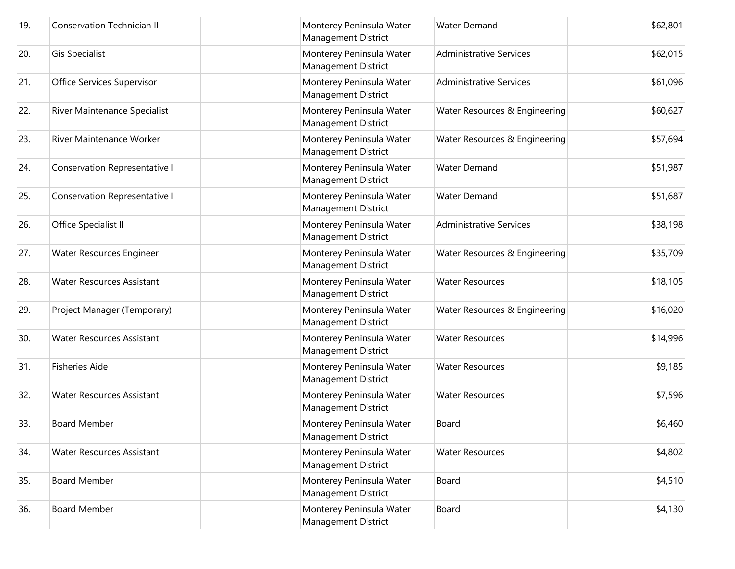| 19. | <b>Conservation Technician II</b> | Monterey Peninsula Water<br>Management District        | <b>Water Demand</b>            | \$62,801 |
|-----|-----------------------------------|--------------------------------------------------------|--------------------------------|----------|
| 20. | <b>Gis Specialist</b>             | Monterey Peninsula Water<br>Management District        | <b>Administrative Services</b> | \$62,015 |
| 21. | Office Services Supervisor        | Monterey Peninsula Water<br>Management District        | <b>Administrative Services</b> | \$61,096 |
| 22. | River Maintenance Specialist      | Monterey Peninsula Water<br>Management District        | Water Resources & Engineering  | \$60,627 |
| 23. | River Maintenance Worker          | Monterey Peninsula Water<br>Management District        | Water Resources & Engineering  | \$57,694 |
| 24. | Conservation Representative I     | Monterey Peninsula Water<br>Management District        | Water Demand                   | \$51,987 |
| 25. | Conservation Representative I     | Monterey Peninsula Water<br>Management District        | <b>Water Demand</b>            | \$51,687 |
| 26. | Office Specialist II              | Monterey Peninsula Water<br>Management District        | <b>Administrative Services</b> | \$38,198 |
| 27. | Water Resources Engineer          | Monterey Peninsula Water<br><b>Management District</b> | Water Resources & Engineering  | \$35,709 |
| 28. | <b>Water Resources Assistant</b>  | Monterey Peninsula Water<br>Management District        | <b>Water Resources</b>         | \$18,105 |
| 29. | Project Manager (Temporary)       | Monterey Peninsula Water<br>Management District        | Water Resources & Engineering  | \$16,020 |
| 30. | <b>Water Resources Assistant</b>  | Monterey Peninsula Water<br><b>Management District</b> | <b>Water Resources</b>         | \$14,996 |
| 31. | <b>Fisheries Aide</b>             | Monterey Peninsula Water<br><b>Management District</b> | <b>Water Resources</b>         | \$9,185  |
| 32. | Water Resources Assistant         | Monterey Peninsula Water<br><b>Management District</b> | <b>Water Resources</b>         | \$7,596  |
| 33. | <b>Board Member</b>               | Monterey Peninsula Water<br>Management District        | Board                          | \$6,460  |
| 34. | <b>Water Resources Assistant</b>  | Monterey Peninsula Water<br>Management District        | <b>Water Resources</b>         | \$4,802  |
| 35. | <b>Board Member</b>               | Monterey Peninsula Water<br>Management District        | Board                          | \$4,510  |
| 36. | <b>Board Member</b>               | Monterey Peninsula Water<br>Management District        | Board                          | \$4,130  |